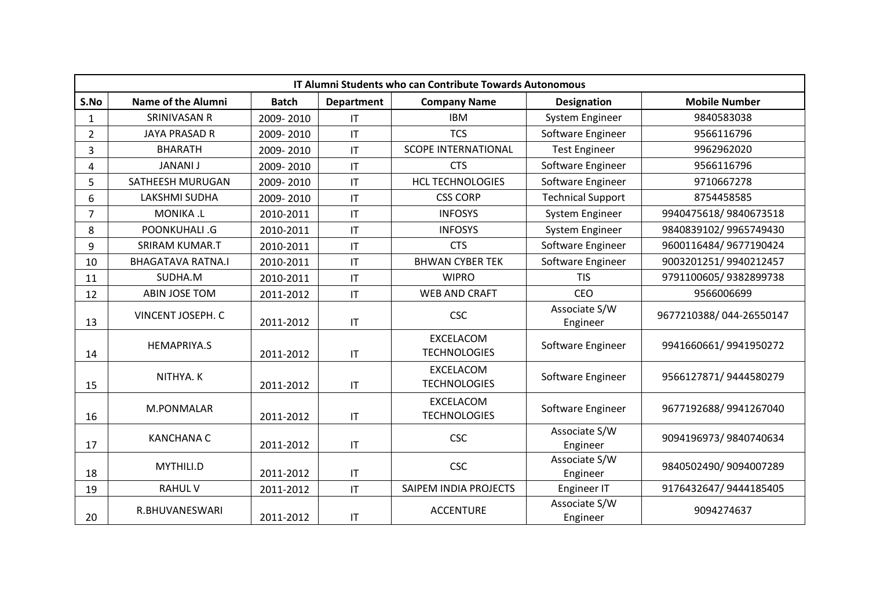|                |                           |              |                        | IT Alumni Students who can Contribute Towards Autonomous |                           |                         |
|----------------|---------------------------|--------------|------------------------|----------------------------------------------------------|---------------------------|-------------------------|
| S.No           | <b>Name of the Alumni</b> | <b>Batch</b> | <b>Department</b>      | <b>Company Name</b>                                      | <b>Designation</b>        | <b>Mobile Number</b>    |
| $\mathbf{1}$   | <b>SRINIVASAN R</b>       | 2009-2010    | IT                     | <b>IBM</b>                                               | System Engineer           | 9840583038              |
| $\overline{2}$ | <b>JAYA PRASAD R</b>      | 2009-2010    | $\mathsf{I}\mathsf{T}$ | <b>TCS</b>                                               | Software Engineer         | 9566116796              |
| 3              | <b>BHARATH</b>            | 2009-2010    | $\mathsf{I}\mathsf{T}$ | <b>SCOPE INTERNATIONAL</b>                               | <b>Test Engineer</b>      | 9962962020              |
| 4              | <b>JANANI J</b>           | 2009-2010    | $\mathsf{I}\mathsf{T}$ | <b>CTS</b>                                               | Software Engineer         | 9566116796              |
| 5              | SATHEESH MURUGAN          | 2009-2010    | $\mathsf{I}\mathsf{T}$ | <b>HCL TECHNOLOGIES</b>                                  | Software Engineer         | 9710667278              |
| 6              | LAKSHMI SUDHA             | 2009-2010    | $\mathsf{I}\mathsf{T}$ | <b>CSS CORP</b>                                          | <b>Technical Support</b>  | 8754458585              |
| $\overline{7}$ | MONIKA .L                 | 2010-2011    | $\mathsf{I}\mathsf{T}$ | <b>INFOSYS</b>                                           | System Engineer           | 9940475618/9840673518   |
| 8              | POONKUHALI .G             | 2010-2011    | $\mathsf{I}\mathsf{T}$ | <b>INFOSYS</b>                                           | System Engineer           | 9840839102/9965749430   |
| 9              | <b>SRIRAM KUMAR.T</b>     | 2010-2011    | $\mathsf{I}\mathsf{T}$ | <b>CTS</b>                                               | Software Engineer         | 9600116484/9677190424   |
| 10             | <b>BHAGATAVA RATNA.I</b>  | 2010-2011    | $\mathsf{I}\mathsf{T}$ | <b>BHWAN CYBER TEK</b>                                   | Software Engineer         | 9003201251/9940212457   |
| 11             | SUDHA.M                   | 2010-2011    | $\mathsf{I}\mathsf{T}$ | <b>WIPRO</b>                                             | <b>TIS</b>                | 9791100605/9382899738   |
| 12             | ABIN JOSE TOM             | 2011-2012    | $\mathsf{I}\mathsf{T}$ | <b>WEB AND CRAFT</b>                                     | <b>CEO</b>                | 9566006699              |
| 13             | VINCENT JOSEPH. C         | 2011-2012    | $\mathsf{I}\mathsf{T}$ | <b>CSC</b>                                               | Associate S/W<br>Engineer | 9677210388/044-26550147 |
| 14             | <b>HEMAPRIYA.S</b>        | 2011-2012    | $\mathsf{I}\mathsf{T}$ | <b>EXCELACOM</b><br><b>TECHNOLOGIES</b>                  | Software Engineer         | 9941660661/9941950272   |
| 15             | NITHYA. K                 | 2011-2012    | $\mathsf{I}\mathsf{T}$ | EXCELACOM<br><b>TECHNOLOGIES</b>                         | Software Engineer         | 9566127871/9444580279   |
| 16             | M.PONMALAR                | 2011-2012    | $\mathsf{I}\mathsf{T}$ | <b>EXCELACOM</b><br><b>TECHNOLOGIES</b>                  | Software Engineer         | 9677192688/9941267040   |
| 17             | <b>KANCHANA C</b>         | 2011-2012    | $\mathsf{I}\mathsf{T}$ | <b>CSC</b>                                               | Associate S/W<br>Engineer | 9094196973/9840740634   |
| 18             | MYTHILI.D                 | 2011-2012    | $\mathsf{I}\mathsf{T}$ | <b>CSC</b>                                               | Associate S/W<br>Engineer | 9840502490/9094007289   |
| 19             | <b>RAHUL V</b>            | 2011-2012    | $\mathsf{I}\mathsf{T}$ | SAIPEM INDIA PROJECTS                                    | Engineer IT               | 9176432647/9444185405   |
| 20             | R.BHUVANESWARI            | 2011-2012    | $\mathsf{I}\mathsf{T}$ | <b>ACCENTURE</b>                                         | Associate S/W<br>Engineer | 9094274637              |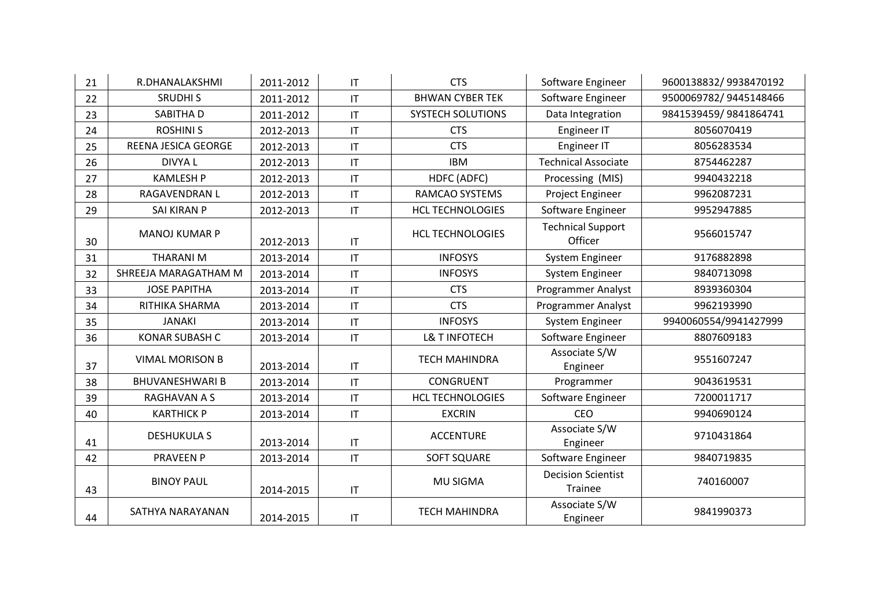| 21 | R.DHANALAKSHMI         | 2011-2012 | $\mathsf{I}\mathsf{T}$ | <b>CTS</b>               | Software Engineer                    | 9600138832/9938470192 |
|----|------------------------|-----------|------------------------|--------------------------|--------------------------------------|-----------------------|
| 22 | <b>SRUDHIS</b>         | 2011-2012 | $\mathsf{I}\mathsf{T}$ | <b>BHWAN CYBER TEK</b>   | Software Engineer                    | 9500069782/9445148466 |
| 23 | SABITHA D              | 2011-2012 | $\mathsf{I}\mathsf{T}$ | <b>SYSTECH SOLUTIONS</b> | Data Integration                     | 9841539459/9841864741 |
| 24 | <b>ROSHINI S</b>       | 2012-2013 | $\mathsf{I}\mathsf{T}$ | <b>CTS</b>               | Engineer IT                          | 8056070419            |
| 25 | REENA JESICA GEORGE    | 2012-2013 | $\mathsf{I}\mathsf{T}$ | <b>CTS</b>               | Engineer IT                          | 8056283534            |
| 26 | DIVYA L                | 2012-2013 | $\mathsf{I}\mathsf{T}$ | <b>IBM</b>               | <b>Technical Associate</b>           | 8754462287            |
| 27 | <b>KAMLESH P</b>       | 2012-2013 | $\mathsf{I}\mathsf{T}$ | HDFC (ADFC)              | Processing (MIS)                     | 9940432218            |
| 28 | RAGAVENDRAN L          | 2012-2013 | $\mathsf{I}\mathsf{T}$ | RAMCAO SYSTEMS           | Project Engineer                     | 9962087231            |
| 29 | SAI KIRAN P            | 2012-2013 | $\mathsf{I}\mathsf{T}$ | <b>HCL TECHNOLOGIES</b>  | Software Engineer                    | 9952947885            |
| 30 | <b>MANOJ KUMAR P</b>   | 2012-2013 | $\mathsf{I}\mathsf{T}$ | <b>HCL TECHNOLOGIES</b>  | <b>Technical Support</b><br>Officer  | 9566015747            |
| 31 | <b>THARANIM</b>        | 2013-2014 | $\mathsf{I}\mathsf{T}$ | <b>INFOSYS</b>           | System Engineer                      | 9176882898            |
| 32 | SHREEJA MARAGATHAM M   | 2013-2014 | $\mathsf{I}\mathsf{T}$ | <b>INFOSYS</b>           | System Engineer                      | 9840713098            |
| 33 | <b>JOSE PAPITHA</b>    | 2013-2014 | $\mathsf{I}\mathsf{T}$ | <b>CTS</b>               | <b>Programmer Analyst</b>            | 8939360304            |
| 34 | RITHIKA SHARMA         | 2013-2014 | $\mathsf{I}\mathsf{T}$ | <b>CTS</b>               | Programmer Analyst                   | 9962193990            |
| 35 | <b>JANAKI</b>          | 2013-2014 | $\mathsf{I}\mathsf{T}$ | <b>INFOSYS</b>           | System Engineer                      | 9940060554/9941427999 |
| 36 | <b>KONAR SUBASH C</b>  | 2013-2014 | $\mathsf{I}\mathsf{T}$ | <b>L&amp; T INFOTECH</b> | Software Engineer                    | 8807609183            |
| 37 | <b>VIMAL MORISON B</b> | 2013-2014 | $\mathsf{I}\mathsf{T}$ | <b>TECH MAHINDRA</b>     | Associate S/W<br>Engineer            | 9551607247            |
| 38 | <b>BHUVANESHWARI B</b> | 2013-2014 | $\mathsf{I}\mathsf{T}$ | <b>CONGRUENT</b>         | Programmer                           | 9043619531            |
| 39 | RAGHAVAN A S           | 2013-2014 | IT                     | <b>HCL TECHNOLOGIES</b>  | Software Engineer                    | 7200011717            |
| 40 | <b>KARTHICK P</b>      | 2013-2014 | $\mathsf{I}\mathsf{T}$ | <b>EXCRIN</b>            | <b>CEO</b>                           | 9940690124            |
| 41 | <b>DESHUKULA S</b>     | 2013-2014 | $\mathsf{I}\mathsf{T}$ | <b>ACCENTURE</b>         | Associate S/W<br>Engineer            | 9710431864            |
| 42 | <b>PRAVEEN P</b>       | 2013-2014 | $\mathsf{I}\mathsf{T}$ | <b>SOFT SQUARE</b>       | Software Engineer                    | 9840719835            |
| 43 | <b>BINOY PAUL</b>      | 2014-2015 | $\mathsf{I}\mathsf{T}$ | <b>MU SIGMA</b>          | <b>Decision Scientist</b><br>Trainee | 740160007             |
| 44 | SATHYA NARAYANAN       | 2014-2015 | $\mathsf{I}\mathsf{T}$ | <b>TECH MAHINDRA</b>     | Associate S/W<br>Engineer            | 9841990373            |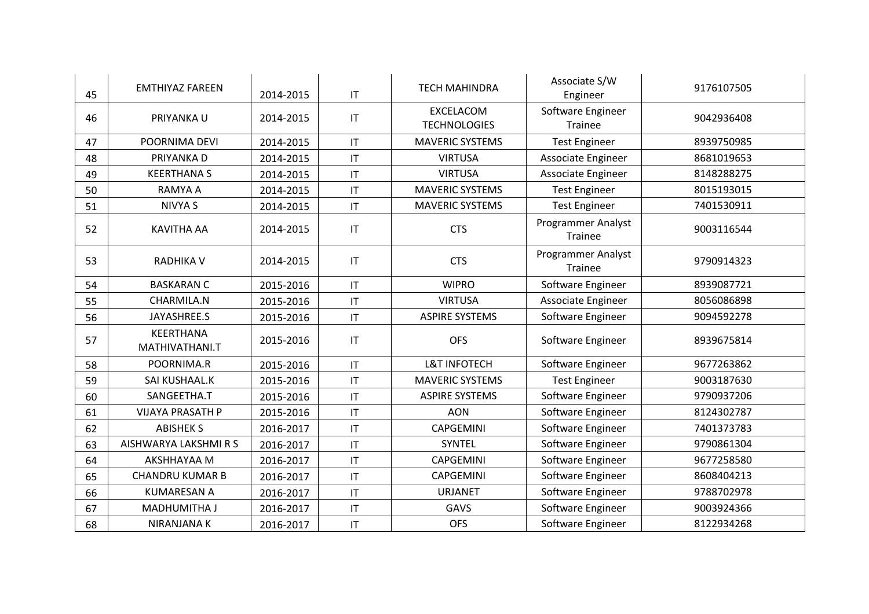| 45 | <b>EMTHIYAZ FAREEN</b>      | 2014-2015 | $\mathsf{I}\mathsf{T}$ | <b>TECH MAHINDRA</b>                    | Associate S/W<br>Engineer     | 9176107505 |
|----|-----------------------------|-----------|------------------------|-----------------------------------------|-------------------------------|------------|
| 46 | PRIYANKA U                  | 2014-2015 | $\mathsf{I}\mathsf{T}$ | <b>EXCELACOM</b><br><b>TECHNOLOGIES</b> | Software Engineer<br>Trainee  | 9042936408 |
| 47 | POORNIMA DEVI               | 2014-2015 | $\mathsf{I}\mathsf{T}$ | <b>MAVERIC SYSTEMS</b>                  | <b>Test Engineer</b>          | 8939750985 |
| 48 | PRIYANKA D                  | 2014-2015 | $\mathsf{I}\mathsf{T}$ | <b>VIRTUSA</b>                          | Associate Engineer            | 8681019653 |
| 49 | <b>KEERTHANAS</b>           | 2014-2015 | $\mathsf{I}\mathsf{T}$ | <b>VIRTUSA</b>                          | Associate Engineer            | 8148288275 |
| 50 | RAMYA A                     | 2014-2015 | $\mathsf{I}\mathsf{T}$ | <b>MAVERIC SYSTEMS</b>                  | <b>Test Engineer</b>          | 8015193015 |
| 51 | <b>NIVYA S</b>              | 2014-2015 | $\mathsf{I}\mathsf{T}$ | <b>MAVERIC SYSTEMS</b>                  | <b>Test Engineer</b>          | 7401530911 |
| 52 | <b>KAVITHA AA</b>           | 2014-2015 | $\mathsf{I}\mathsf{T}$ | <b>CTS</b>                              | Programmer Analyst<br>Trainee | 9003116544 |
| 53 | <b>RADHIKA V</b>            | 2014-2015 | $\mathsf{I}\mathsf{T}$ | <b>CTS</b>                              | Programmer Analyst<br>Trainee | 9790914323 |
| 54 | <b>BASKARAN C</b>           | 2015-2016 | $\mathsf{I}\mathsf{T}$ | <b>WIPRO</b>                            | Software Engineer             | 8939087721 |
| 55 | CHARMILA.N                  | 2015-2016 | $\mathsf{I}\mathsf{T}$ | <b>VIRTUSA</b>                          | Associate Engineer            | 8056086898 |
| 56 | JAYASHREE.S                 | 2015-2016 | $\mathsf{I}\mathsf{T}$ | <b>ASPIRE SYSTEMS</b>                   | Software Engineer             | 9094592278 |
| 57 | KEERTHANA<br>MATHIVATHANI.T | 2015-2016 | $\mathsf{I}\mathsf{T}$ | <b>OFS</b>                              | Software Engineer             | 8939675814 |
| 58 | POORNIMA.R                  | 2015-2016 | $\mathsf{I}\mathsf{T}$ | <b>L&amp;T INFOTECH</b>                 | Software Engineer             | 9677263862 |
| 59 | SAI KUSHAAL.K               | 2015-2016 | IT                     | <b>MAVERIC SYSTEMS</b>                  | <b>Test Engineer</b>          | 9003187630 |
| 60 | SANGEETHA.T                 | 2015-2016 | $\mathsf{I}\mathsf{T}$ | <b>ASPIRE SYSTEMS</b>                   | Software Engineer             | 9790937206 |
| 61 | <b>VIJAYA PRASATH P</b>     | 2015-2016 | $\mathsf{I}\mathsf{T}$ | <b>AON</b>                              | Software Engineer             | 8124302787 |
| 62 | <b>ABISHEK S</b>            | 2016-2017 | $\mathsf{I}\mathsf{T}$ | CAPGEMINI                               | Software Engineer             | 7401373783 |
| 63 | AISHWARYA LAKSHMI R S       | 2016-2017 | IT                     | SYNTEL                                  | Software Engineer             | 9790861304 |
| 64 | AKSHHAYAA M                 | 2016-2017 | $\mathsf{I}\mathsf{T}$ | CAPGEMINI                               | Software Engineer             | 9677258580 |
| 65 | <b>CHANDRU KUMAR B</b>      | 2016-2017 | IT                     | <b>CAPGEMINI</b>                        | Software Engineer             | 8608404213 |
| 66 | <b>KUMARESAN A</b>          | 2016-2017 | $\mathsf{I}\mathsf{T}$ | <b>URJANET</b>                          | Software Engineer             | 9788702978 |
| 67 | MADHUMITHA J                | 2016-2017 | $\mathsf{I}\mathsf{T}$ | GAVS                                    | Software Engineer             | 9003924366 |
| 68 | NIRANJANA K                 | 2016-2017 | $\mathsf{I}\mathsf{T}$ | <b>OFS</b>                              | Software Engineer             | 8122934268 |
|    |                             |           |                        |                                         |                               |            |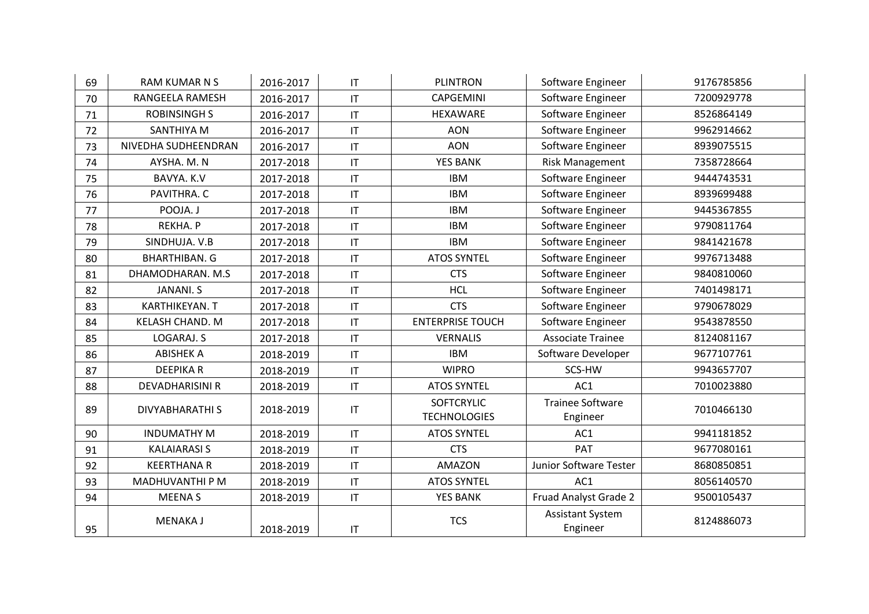| 69 | <b>RAM KUMAR N S</b>   | 2016-2017 | IT                     | <b>PLINTRON</b>                          | Software Engineer                   | 9176785856 |
|----|------------------------|-----------|------------------------|------------------------------------------|-------------------------------------|------------|
| 70 | RANGEELA RAMESH        | 2016-2017 | $\mathsf{I}\mathsf{T}$ | <b>CAPGEMINI</b>                         | Software Engineer                   | 7200929778 |
| 71 | <b>ROBINSINGH S</b>    | 2016-2017 | $\mathsf{I}\mathsf{T}$ | HEXAWARE                                 | Software Engineer                   | 8526864149 |
| 72 | <b>SANTHIYA M</b>      | 2016-2017 | $\mathsf{I}\mathsf{T}$ | <b>AON</b>                               | Software Engineer                   | 9962914662 |
| 73 | NIVEDHA SUDHEENDRAN    | 2016-2017 | $\mathsf{I}\mathsf{T}$ | <b>AON</b>                               | Software Engineer                   | 8939075515 |
| 74 | AYSHA. M. N            | 2017-2018 | $\mathsf{I}\mathsf{T}$ | <b>YES BANK</b>                          | Risk Management                     | 7358728664 |
| 75 | BAVYA. K.V             | 2017-2018 | $\mathsf{I}\mathsf{T}$ | <b>IBM</b>                               | Software Engineer                   | 9444743531 |
| 76 | PAVITHRA. C            | 2017-2018 | $\mathsf{I}\mathsf{T}$ | <b>IBM</b>                               | Software Engineer                   | 8939699488 |
| 77 | POOJA. J               | 2017-2018 | $\mathsf{I}\mathsf{T}$ | <b>IBM</b>                               | Software Engineer                   | 9445367855 |
| 78 | REKHA. P               | 2017-2018 | $\mathsf{I}\mathsf{T}$ | <b>IBM</b>                               | Software Engineer                   | 9790811764 |
| 79 | SINDHUJA. V.B          | 2017-2018 | $\mathsf{I}\mathsf{T}$ | <b>IBM</b>                               | Software Engineer                   | 9841421678 |
| 80 | <b>BHARTHIBAN. G</b>   | 2017-2018 | $\mathsf{I}\mathsf{T}$ | <b>ATOS SYNTEL</b>                       | Software Engineer                   | 9976713488 |
| 81 | DHAMODHARAN. M.S.      | 2017-2018 | $\mathsf{I}\mathsf{T}$ | <b>CTS</b>                               | Software Engineer                   | 9840810060 |
| 82 | <b>JANANI. S</b>       | 2017-2018 | $\mathsf{I}\mathsf{T}$ | <b>HCL</b>                               | Software Engineer                   | 7401498171 |
| 83 | KARTHIKEYAN. T         | 2017-2018 | $\mathsf{I}\mathsf{T}$ | <b>CTS</b>                               | Software Engineer                   | 9790678029 |
| 84 | <b>KELASH CHAND. M</b> | 2017-2018 | $\mathsf{I}\mathsf{T}$ | <b>ENTERPRISE TOUCH</b>                  | Software Engineer                   | 9543878550 |
| 85 | LOGARAJ. S             | 2017-2018 | $\mathsf{I}\mathsf{T}$ | <b>VERNALIS</b>                          | <b>Associate Trainee</b>            | 8124081167 |
| 86 | <b>ABISHEK A</b>       | 2018-2019 | $\mathsf{I}\mathsf{T}$ | <b>IBM</b>                               | Software Developer                  | 9677107761 |
| 87 | <b>DEEPIKAR</b>        | 2018-2019 | $\mathsf{I}\mathsf{T}$ | <b>WIPRO</b>                             | SCS-HW                              | 9943657707 |
| 88 | <b>DEVADHARISINI R</b> | 2018-2019 | $\mathsf{I}\mathsf{T}$ | <b>ATOS SYNTEL</b>                       | AC1                                 | 7010023880 |
| 89 | <b>DIVYABHARATHI S</b> | 2018-2019 | $\mathsf{I}\mathsf{T}$ | <b>SOFTCRYLIC</b><br><b>TECHNOLOGIES</b> | <b>Trainee Software</b><br>Engineer | 7010466130 |
| 90 | <b>INDUMATHY M</b>     | 2018-2019 | $\mathsf{I}\mathsf{T}$ | <b>ATOS SYNTEL</b>                       | AC1                                 | 9941181852 |
| 91 | <b>KALAIARASI S</b>    | 2018-2019 | $\mathsf{I}\mathsf{T}$ | <b>CTS</b>                               | PAT                                 | 9677080161 |
| 92 | <b>KEERTHANA R</b>     | 2018-2019 | $\mathsf{I}\mathsf{T}$ | <b>AMAZON</b>                            | Junior Software Tester              | 8680850851 |
| 93 | MADHUVANTHI P M        | 2018-2019 | $\mathsf{I}\mathsf{T}$ | <b>ATOS SYNTEL</b>                       | AC1                                 | 8056140570 |
| 94 | <b>MEENAS</b>          | 2018-2019 | $\mathsf{I}\mathsf{T}$ | YES BANK                                 | Fruad Analyst Grade 2               | 9500105437 |
| 95 | <b>MENAKAJ</b>         | 2018-2019 | $\mathsf{I}\mathsf{T}$ | <b>TCS</b>                               | <b>Assistant System</b><br>Engineer | 8124886073 |